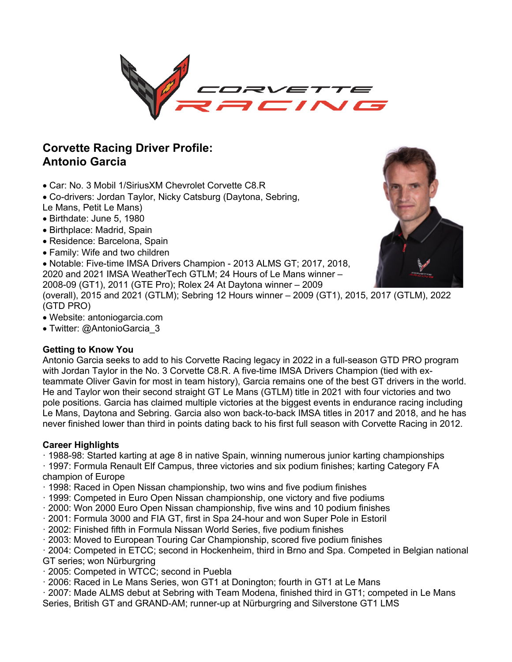

## **Corvette Racing Driver Profile: Antonio Garcia**

- Car: No. 3 Mobil 1/SiriusXM Chevrolet Corvette C8.R
- Co-drivers: Jordan Taylor, Nicky Catsburg (Daytona, Sebring,
- Le Mans, Petit Le Mans)
- Birthdate: June 5, 1980
- Birthplace: Madrid, Spain
- Residence: Barcelona, Spain
- Family: Wife and two children

• Notable: Five-time IMSA Drivers Champion - 2013 ALMS GT; 2017, 2018,

2020 and 2021 IMSA WeatherTech GTLM; 24 Hours of Le Mans winner – 2008-09 (GT1), 2011 (GTE Pro); Rolex 24 At Daytona winner – 2009

(overall), 2015 and 2021 (GTLM); Sebring 12 Hours winner – 2009 (GT1), 2015, 2017 (GTLM), 2022 (GTD PRO)

- Website: antoniogarcia.com
- Twitter: @AntonioGarcia 3

### **Getting to Know You**

Antonio Garcia seeks to add to his Corvette Racing legacy in 2022 in a full-season GTD PRO program with Jordan Taylor in the No. 3 Corvette C8.R. A five-time IMSA Drivers Champion (tied with exteammate Oliver Gavin for most in team history), Garcia remains one of the best GT drivers in the world. He and Taylor won their second straight GT Le Mans (GTLM) title in 2021 with four victories and two pole positions. Garcia has claimed multiple victories at the biggest events in endurance racing including Le Mans, Daytona and Sebring. Garcia also won back-to-back IMSA titles in 2017 and 2018, and he has never finished lower than third in points dating back to his first full season with Corvette Racing in 2012.

### **Career Highlights**

· 1988-98: Started karting at age 8 in native Spain, winning numerous junior karting championships

· 1997: Formula Renault Elf Campus, three victories and six podium finishes; karting Category FA champion of Europe

- · 1998: Raced in Open Nissan championship, two wins and five podium finishes
- · 1999: Competed in Euro Open Nissan championship, one victory and five podiums
- · 2000: Won 2000 Euro Open Nissan championship, five wins and 10 podium finishes
- · 2001: Formula 3000 and FIA GT, first in Spa 24-hour and won Super Pole in Estoril
- · 2002: Finished fifth in Formula Nissan World Series, five podium finishes
- · 2003: Moved to European Touring Car Championship, scored five podium finishes

· 2004: Competed in ETCC; second in Hockenheim, third in Brno and Spa. Competed in Belgian national GT series; won Nürburgring

- · 2005: Competed in WTCC; second in Puebla
- · 2006: Raced in Le Mans Series, won GT1 at Donington; fourth in GT1 at Le Mans
- · 2007: Made ALMS debut at Sebring with Team Modena, finished third in GT1; competed in Le Mans
- Series, British GT and GRAND-AM; runner-up at Nürburgring and Silverstone GT1 LMS

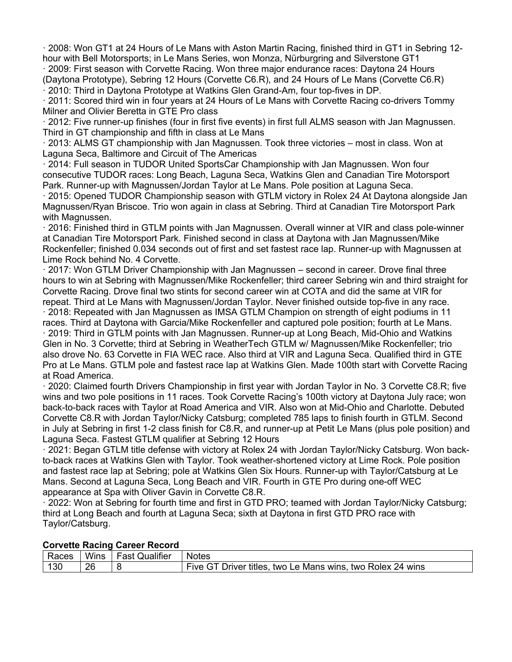· 2008: Won GT1 at 24 Hours of Le Mans with Aston Martin Racing, finished third in GT1 in Sebring 12 hour with Bell Motorsports; in Le Mans Series, won Monza, Nürburgring and Silverstone GT1 · 2009: First season with Corvette Racing. Won three major endurance races: Daytona 24 Hours

(Daytona Prototype), Sebring 12 Hours (Corvette C6.R), and 24 Hours of Le Mans (Corvette C6.R) · 2010: Third in Daytona Prototype at Watkins Glen Grand-Am, four top-fives in DP.

· 2011: Scored third win in four years at 24 Hours of Le Mans with Corvette Racing co-drivers Tommy Milner and Olivier Beretta in GTE Pro class

· 2012: Five runner-up finishes (four in first five events) in first full ALMS season with Jan Magnussen. Third in GT championship and fifth in class at Le Mans

· 2013: ALMS GT championship with Jan Magnussen. Took three victories – most in class. Won at Laguna Seca, Baltimore and Circuit of The Americas

· 2014: Full season in TUDOR United SportsCar Championship with Jan Magnussen. Won four consecutive TUDOR races: Long Beach, Laguna Seca, Watkins Glen and Canadian Tire Motorsport Park. Runner-up with Magnussen/Jordan Taylor at Le Mans. Pole position at Laguna Seca.

· 2015: Opened TUDOR Championship season with GTLM victory in Rolex 24 At Daytona alongside Jan Magnussen/Ryan Briscoe. Trio won again in class at Sebring. Third at Canadian Tire Motorsport Park with Magnussen.

· 2016: Finished third in GTLM points with Jan Magnussen. Overall winner at VIR and class pole-winner at Canadian Tire Motorsport Park. Finished second in class at Daytona with Jan Magnussen/Mike Rockenfeller; finished 0.034 seconds out of first and set fastest race lap. Runner-up with Magnussen at Lime Rock behind No. 4 Corvette.

· 2017: Won GTLM Driver Championship with Jan Magnussen – second in career. Drove final three hours to win at Sebring with Magnussen/Mike Rockenfeller; third career Sebring win and third straight for Corvette Racing. Drove final two stints for second career win at COTA and did the same at VIR for repeat. Third at Le Mans with Magnussen/Jordan Taylor. Never finished outside top-five in any race.

· 2018: Repeated with Jan Magnussen as IMSA GTLM Champion on strength of eight podiums in 11 races. Third at Daytona with Garcia/Mike Rockenfeller and captured pole position; fourth at Le Mans.

· 2019: Third in GTLM points with Jan Magnussen. Runner-up at Long Beach, Mid-Ohio and Watkins Glen in No. 3 Corvette; third at Sebring in WeatherTech GTLM w/ Magnussen/Mike Rockenfeller; trio also drove No. 63 Corvette in FIA WEC race. Also third at VIR and Laguna Seca. Qualified third in GTE Pro at Le Mans. GTLM pole and fastest race lap at Watkins Glen. Made 100th start with Corvette Racing at Road America.

· 2020: Claimed fourth Drivers Championship in first year with Jordan Taylor in No. 3 Corvette C8.R; five wins and two pole positions in 11 races. Took Corvette Racing's 100th victory at Daytona July race; won back-to-back races with Taylor at Road America and VIR. Also won at Mid-Ohio and Charlotte. Debuted Corvette C8.R with Jordan Taylor/Nicky Catsburg; completed 785 laps to finish fourth in GTLM. Second in July at Sebring in first 1-2 class finish for C8.R, and runner-up at Petit Le Mans (plus pole position) and Laguna Seca. Fastest GTLM qualifier at Sebring 12 Hours

· 2021: Began GTLM title defense with victory at Rolex 24 with Jordan Taylor/Nicky Catsburg. Won backto-back races at Watkins Glen with Taylor. Took weather-shortened victory at Lime Rock. Pole position and fastest race lap at Sebring; pole at Watkins Glen Six Hours. Runner-up with Taylor/Catsburg at Le Mans. Second at Laguna Seca, Long Beach and VIR. Fourth in GTE Pro during one-off WEC appearance at Spa with Oliver Gavin in Corvette C8.R.

· 2022: Won at Sebring for fourth time and first in GTD PRO; teamed with Jordan Taylor/Nicky Catsburg; third at Long Beach and fourth at Laguna Seca; sixth at Daytona in first GTD PRO race with Taylor/Catsburg.

| <b>COLVELLE INACTING CALGET INCLUIU</b> |      |                       |                                                            |  |
|-----------------------------------------|------|-----------------------|------------------------------------------------------------|--|
| Races                                   | Wins | <b>Fast Qualifier</b> | <b>Notes</b>                                               |  |
| 130                                     | 26   |                       | Five GT Driver titles, two Le Mans wins, two Rolex 24 wins |  |

### **Corvette Racing Career Record**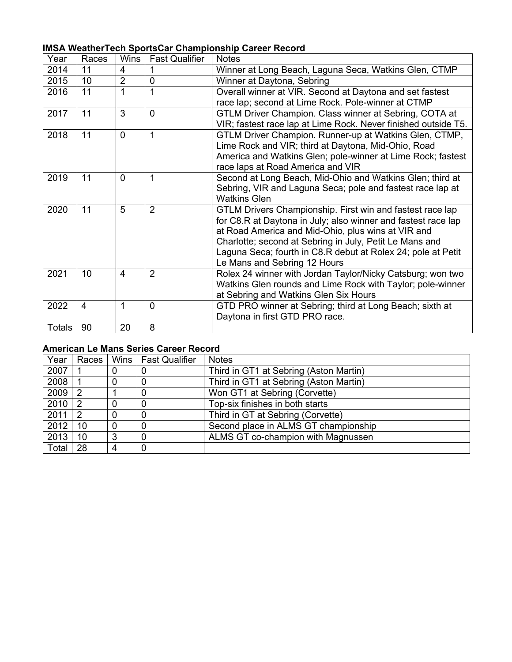| Year          | Races | <b>Wins</b>    | <b>Fast Qualifier</b> | <b>Notes</b>                                                   |
|---------------|-------|----------------|-----------------------|----------------------------------------------------------------|
| 2014          | 11    | 4              |                       | Winner at Long Beach, Laguna Seca, Watkins Glen, CTMP          |
| 2015          | 10    | $\overline{2}$ | $\overline{0}$        | Winner at Daytona, Sebring                                     |
| 2016          | 11    | 1              | 1                     | Overall winner at VIR. Second at Daytona and set fastest       |
|               |       |                |                       | race lap; second at Lime Rock. Pole-winner at CTMP             |
| 2017          | 11    | 3              | $\Omega$              | GTLM Driver Champion. Class winner at Sebring, COTA at         |
|               |       |                |                       | VIR; fastest race lap at Lime Rock. Never finished outside T5. |
| 2018          | 11    | 0              | 1                     | GTLM Driver Champion. Runner-up at Watkins Glen, CTMP,         |
|               |       |                |                       | Lime Rock and VIR; third at Daytona, Mid-Ohio, Road            |
|               |       |                |                       | America and Watkins Glen; pole-winner at Lime Rock; fastest    |
|               |       |                |                       | race laps at Road America and VIR                              |
| 2019          | 11    | 0              | 1                     | Second at Long Beach, Mid-Ohio and Watkins Glen; third at      |
|               |       |                |                       | Sebring, VIR and Laguna Seca; pole and fastest race lap at     |
|               |       |                |                       | <b>Watkins Glen</b>                                            |
| 2020          | 11    | 5              | $\overline{2}$        | GTLM Drivers Championship. First win and fastest race lap      |
|               |       |                |                       | for C8.R at Daytona in July; also winner and fastest race lap  |
|               |       |                |                       | at Road America and Mid-Ohio, plus wins at VIR and             |
|               |       |                |                       | Charlotte; second at Sebring in July, Petit Le Mans and        |
|               |       |                |                       | Laguna Seca; fourth in C8.R debut at Rolex 24; pole at Petit   |
|               |       |                | $\overline{2}$        | Le Mans and Sebring 12 Hours                                   |
| 2021          | 10    | 4              |                       | Rolex 24 winner with Jordan Taylor/Nicky Catsburg; won two     |
|               |       |                |                       | Watkins Glen rounds and Lime Rock with Taylor; pole-winner     |
|               | 4     | 1              | 0                     | at Sebring and Watkins Glen Six Hours                          |
| 2022          |       |                |                       | GTD PRO winner at Sebring; third at Long Beach; sixth at       |
|               |       |                |                       | Daytona in first GTD PRO race.                                 |
| <b>Totals</b> | 90    | 20             | 8                     |                                                                |

# **IMSA WeatherTech SportsCar Championship Career Record**

## **American Le Mans Series Career Record**

| Year  | Races |          | Wins   Fast Qualifier | <b>Notes</b>                           |  |
|-------|-------|----------|-----------------------|----------------------------------------|--|
| 2007  |       | 0        |                       | Third in GT1 at Sebring (Aston Martin) |  |
| 2008  |       | 0        |                       | Third in GT1 at Sebring (Aston Martin) |  |
| 2009  | 2     |          |                       | Won GT1 at Sebring (Corvette)          |  |
| 2010  | 2     | $\Omega$ |                       | Top-six finishes in both starts        |  |
| 2011  | 2     | $\Omega$ |                       | Third in GT at Sebring (Corvette)      |  |
| 2012  | 10    | $\Omega$ |                       | Second place in ALMS GT championship   |  |
| 2013  | 10    | 3        |                       | ALMS GT co-champion with Magnussen     |  |
| Total | 28    | 4        |                       |                                        |  |